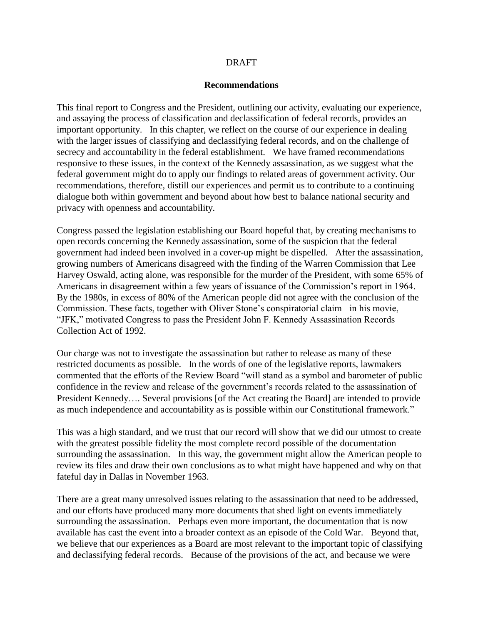#### DRAFT

#### **Recommendations**

This final report to Congress and the President, outlining our activity, evaluating our experience, and assaying the process of classification and declassification of federal records, provides an important opportunity. In this chapter, we reflect on the course of our experience in dealing with the larger issues of classifying and declassifying federal records, and on the challenge of secrecy and accountability in the federal establishment. We have framed recommendations responsive to these issues, in the context of the Kennedy assassination, as we suggest what the federal government might do to apply our findings to related areas of government activity. Our recommendations, therefore, distill our experiences and permit us to contribute to a continuing dialogue both within government and beyond about how best to balance national security and privacy with openness and accountability.

Congress passed the legislation establishing our Board hopeful that, by creating mechanisms to open records concerning the Kennedy assassination, some of the suspicion that the federal government had indeed been involved in a cover-up might be dispelled. After the assassination, growing numbers of Americans disagreed with the finding of the Warren Commission that Lee Harvey Oswald, acting alone, was responsible for the murder of the President, with some 65% of Americans in disagreement within a few years of issuance of the Commission's report in 1964. By the 1980s, in excess of 80% of the American people did not agree with the conclusion of the Commission. These facts, together with Oliver Stone's conspiratorial claim in his movie, "JFK," motivated Congress to pass the President John F. Kennedy Assassination Records Collection Act of 1992.

Our charge was not to investigate the assassination but rather to release as many of these restricted documents as possible. In the words of one of the legislative reports, lawmakers commented that the efforts of the Review Board "will stand as a symbol and barometer of public confidence in the review and release of the government's records related to the assassination of President Kennedy.... Several provisions [of the Act creating the Board] are intended to provide as much independence and accountability as is possible within our Constitutional framework."

This was a high standard, and we trust that our record will show that we did our utmost to create with the greatest possible fidelity the most complete record possible of the documentation surrounding the assassination. In this way, the government might allow the American people to review its files and draw their own conclusions as to what might have happened and why on that fateful day in Dallas in November 1963.

There are a great many unresolved issues relating to the assassination that need to be addressed, and our efforts have produced many more documents that shed light on events immediately surrounding the assassination. Perhaps even more important, the documentation that is now available has cast the event into a broader context as an episode of the Cold War. Beyond that, we believe that our experiences as a Board are most relevant to the important topic of classifying and declassifying federal records. Because of the provisions of the act, and because we were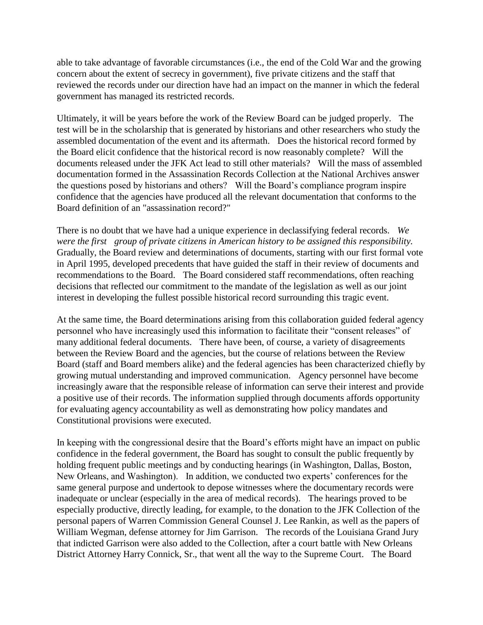able to take advantage of favorable circumstances (i.e., the end of the Cold War and the growing concern about the extent of secrecy in government), five private citizens and the staff that reviewed the records under our direction have had an impact on the manner in which the federal government has managed its restricted records.

Ultimately, it will be years before the work of the Review Board can be judged properly. The test will be in the scholarship that is generated by historians and other researchers who study the assembled documentation of the event and its aftermath. Does the historical record formed by the Board elicit confidence that the historical record is now reasonably complete? Will the documents released under the JFK Act lead to still other materials? Will the mass of assembled documentation formed in the Assassination Records Collection at the National Archives answer the questions posed by historians and others? Will the Board's compliance program inspire confidence that the agencies have produced all the relevant documentation that conforms to the Board definition of an "assassination record?"

There is no doubt that we have had a unique experience in declassifying federal records. *We were the first group of private citizens in American history to be assigned this responsibility.* Gradually, the Board review and determinations of documents, starting with our first formal vote in April 1995, developed precedents that have guided the staff in their review of documents and recommendations to the Board. The Board considered staff recommendations, often reaching decisions that reflected our commitment to the mandate of the legislation as well as our joint interest in developing the fullest possible historical record surrounding this tragic event.

At the same time, the Board determinations arising from this collaboration guided federal agency personnel who have increasingly used this information to facilitate their "consent releases" of many additional federal documents. There have been, of course, a variety of disagreements between the Review Board and the agencies, but the course of relations between the Review Board (staff and Board members alike) and the federal agencies has been characterized chiefly by growing mutual understanding and improved communication. Agency personnel have become increasingly aware that the responsible release of information can serve their interest and provide a positive use of their records. The information supplied through documents affords opportunity for evaluating agency accountability as well as demonstrating how policy mandates and Constitutional provisions were executed.

In keeping with the congressional desire that the Board's efforts might have an impact on public confidence in the federal government, the Board has sought to consult the public frequently by holding frequent public meetings and by conducting hearings (in Washington, Dallas, Boston, New Orleans, and Washington). In addition, we conducted two experts' conferences for the same general purpose and undertook to depose witnesses where the documentary records were inadequate or unclear (especially in the area of medical records). The hearings proved to be especially productive, directly leading, for example, to the donation to the JFK Collection of the personal papers of Warren Commission General Counsel J. Lee Rankin, as well as the papers of William Wegman, defense attorney for Jim Garrison. The records of the Louisiana Grand Jury that indicted Garrison were also added to the Collection, after a court battle with New Orleans District Attorney Harry Connick, Sr., that went all the way to the Supreme Court. The Board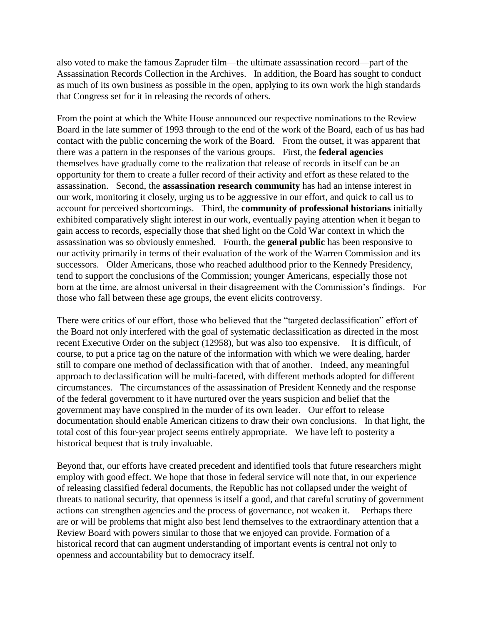also voted to make the famous Zapruder film—the ultimate assassination record—part of the Assassination Records Collection in the Archives. In addition, the Board has sought to conduct as much of its own business as possible in the open, applying to its own work the high standards that Congress set for it in releasing the records of others.

From the point at which the White House announced our respective nominations to the Review Board in the late summer of 1993 through to the end of the work of the Board, each of us has had contact with the public concerning the work of the Board. From the outset, it was apparent that there was a pattern in the responses of the various groups. First, the **federal agencies** themselves have gradually come to the realization that release of records in itself can be an opportunity for them to create a fuller record of their activity and effort as these related to the assassination. Second, the **assassination research community** has had an intense interest in our work, monitoring it closely, urging us to be aggressive in our effort, and quick to call us to account for perceived shortcomings. Third, the **community of professional historians** initially exhibited comparatively slight interest in our work, eventually paying attention when it began to gain access to records, especially those that shed light on the Cold War context in which the assassination was so obviously enmeshed. Fourth, the **general public** has been responsive to our activity primarily in terms of their evaluation of the work of the Warren Commission and its successors. Older Americans, those who reached adulthood prior to the Kennedy Presidency, tend to support the conclusions of the Commission; younger Americans, especially those not born at the time, are almost universal in their disagreement with the Commission's findings. For those who fall between these age groups, the event elicits controversy.

There were critics of our effort, those who believed that the "targeted declassification" effort of the Board not only interfered with the goal of systematic declassification as directed in the most recent Executive Order on the subject (12958), but was also too expensive. It is difficult, of course, to put a price tag on the nature of the information with which we were dealing, harder still to compare one method of declassification with that of another. Indeed, any meaningful approach to declassification will be multi-faceted, with different methods adopted for different circumstances. The circumstances of the assassination of President Kennedy and the response of the federal government to it have nurtured over the years suspicion and belief that the government may have conspired in the murder of its own leader. Our effort to release documentation should enable American citizens to draw their own conclusions. In that light, the total cost of this four-year project seems entirely appropriate. We have left to posterity a historical bequest that is truly invaluable.

Beyond that, our efforts have created precedent and identified tools that future researchers might employ with good effect. We hope that those in federal service will note that, in our experience of releasing classified federal documents, the Republic has not collapsed under the weight of threats to national security, that openness is itself a good, and that careful scrutiny of government actions can strengthen agencies and the process of governance, not weaken it. Perhaps there are or will be problems that might also best lend themselves to the extraordinary attention that a Review Board with powers similar to those that we enjoyed can provide. Formation of a historical record that can augment understanding of important events is central not only to openness and accountability but to democracy itself.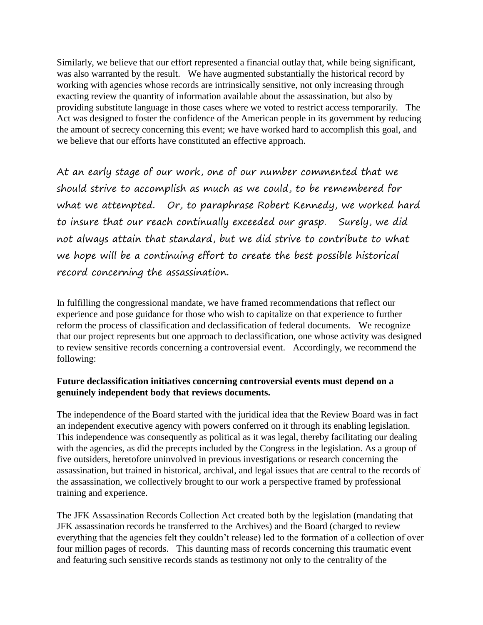Similarly, we believe that our effort represented a financial outlay that, while being significant, was also warranted by the result. We have augmented substantially the historical record by working with agencies whose records are intrinsically sensitive, not only increasing through exacting review the quantity of information available about the assassination, but also by providing substitute language in those cases where we voted to restrict access temporarily. The Act was designed to foster the confidence of the American people in its government by reducing the amount of secrecy concerning this event; we have worked hard to accomplish this goal, and we believe that our efforts have constituted an effective approach.

At an early stage of our work, one of our number commented that we should strive to accomplish as much as we could, to be remembered for what we attempted. Or, to paraphrase Robert Kennedy, we worked hard to insure that our reach continually exceeded our grasp. Surely, we did not always attain that standard, but we did strive to contribute to what we hope will be a continuing effort to create the best possible historical record concerning the assassination.

In fulfilling the congressional mandate, we have framed recommendations that reflect our experience and pose guidance for those who wish to capitalize on that experience to further reform the process of classification and declassification of federal documents. We recognize that our project represents but one approach to declassification, one whose activity was designed to review sensitive records concerning a controversial event. Accordingly, we recommend the following:

#### **Future declassification initiatives concerning controversial events must depend on a genuinely independent body that reviews documents.**

The independence of the Board started with the juridical idea that the Review Board was in fact an independent executive agency with powers conferred on it through its enabling legislation. This independence was consequently as political as it was legal, thereby facilitating our dealing with the agencies, as did the precepts included by the Congress in the legislation. As a group of five outsiders, heretofore uninvolved in previous investigations or research concerning the assassination, but trained in historical, archival, and legal issues that are central to the records of the assassination, we collectively brought to our work a perspective framed by professional training and experience.

The JFK Assassination Records Collection Act created both by the legislation (mandating that JFK assassination records be transferred to the Archives) and the Board (charged to review everything that the agencies felt they couldn't release) led to the formation of a collection of over four million pages of records. This daunting mass of records concerning this traumatic event and featuring such sensitive records stands as testimony not only to the centrality of the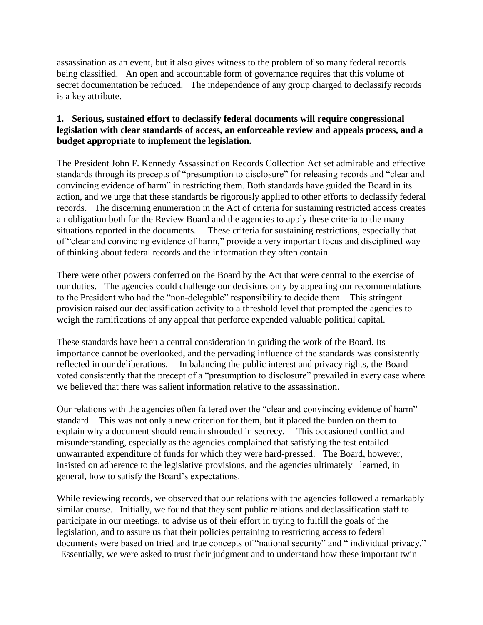assassination as an event, but it also gives witness to the problem of so many federal records being classified. An open and accountable form of governance requires that this volume of secret documentation be reduced. The independence of any group charged to declassify records is a key attribute.

# **1. Serious, sustained effort to declassify federal documents will require congressional legislation with clear standards of access, an enforceable review and appeals process, and a budget appropriate to implement the legislation.**

The President John F. Kennedy Assassination Records Collection Act set admirable and effective standards through its precepts of "presumption to disclosure" for releasing records and "clear and convincing evidence of harm" in restricting them. Both standards have guided the Board in its action, and we urge that these standards be rigorously applied to other efforts to declassify federal records. The discerning enumeration in the Act of criteria for sustaining restricted access creates an obligation both for the Review Board and the agencies to apply these criteria to the many situations reported in the documents. These criteria for sustaining restrictions, especially that of "clear and convincing evidence of harm," provide a very important focus and disciplined way of thinking about federal records and the information they often contain.

There were other powers conferred on the Board by the Act that were central to the exercise of our duties. The agencies could challenge our decisions only by appealing our recommendations to the President who had the "non-delegable" responsibility to decide them. This stringent provision raised our declassification activity to a threshold level that prompted the agencies to weigh the ramifications of any appeal that perforce expended valuable political capital.

These standards have been a central consideration in guiding the work of the Board. Its importance cannot be overlooked, and the pervading influence of the standards was consistently reflected in our deliberations. In balancing the public interest and privacy rights, the Board voted consistently that the precept of a "presumption to disclosure" prevailed in every case where we believed that there was salient information relative to the assassination.

Our relations with the agencies often faltered over the "clear and convincing evidence of harm" standard. This was not only a new criterion for them, but it placed the burden on them to explain why a document should remain shrouded in secrecy. This occasioned conflict and misunderstanding, especially as the agencies complained that satisfying the test entailed unwarranted expenditure of funds for which they were hard-pressed. The Board, however, insisted on adherence to the legislative provisions, and the agencies ultimately learned, in general, how to satisfy the Board's expectations.

While reviewing records, we observed that our relations with the agencies followed a remarkably similar course. Initially, we found that they sent public relations and declassification staff to participate in our meetings, to advise us of their effort in trying to fulfill the goals of the legislation, and to assure us that their policies pertaining to restricting access to federal documents were based on tried and true concepts of "national security" and " individual privacy." Essentially, we were asked to trust their judgment and to understand how these important twin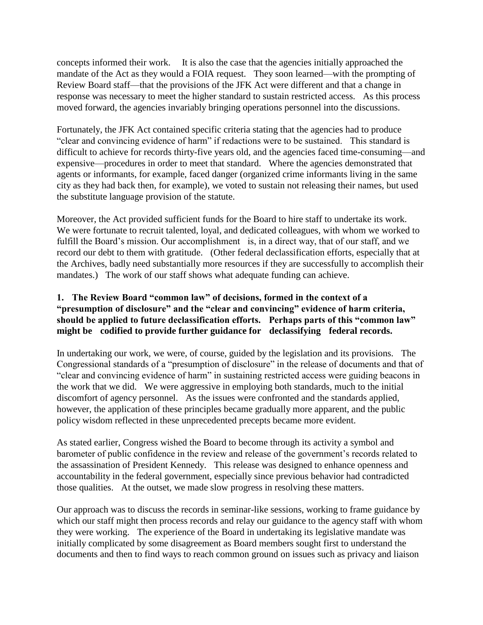concepts informed their work. It is also the case that the agencies initially approached the mandate of the Act as they would a FOIA request. They soon learned—with the prompting of Review Board staff—that the provisions of the JFK Act were different and that a change in response was necessary to meet the higher standard to sustain restricted access. As this process moved forward, the agencies invariably bringing operations personnel into the discussions.

Fortunately, the JFK Act contained specific criteria stating that the agencies had to produce "clear and convincing evidence of harm" if redactions were to be sustained. This standard is difficult to achieve for records thirty-five years old, and the agencies faced time-consuming—and expensive—procedures in order to meet that standard. Where the agencies demonstrated that agents or informants, for example, faced danger (organized crime informants living in the same city as they had back then, for example), we voted to sustain not releasing their names, but used the substitute language provision of the statute.

Moreover, the Act provided sufficient funds for the Board to hire staff to undertake its work. We were fortunate to recruit talented, loyal, and dedicated colleagues, with whom we worked to fulfill the Board's mission. Our accomplishment is, in a direct way, that of our staff, and we record our debt to them with gratitude. (Other federal declassification efforts, especially that at the Archives, badly need substantially more resources if they are successfully to accomplish their mandates.) The work of our staff shows what adequate funding can achieve.

# **1. The Review Board "common law" of decisions, formed in the context of a "presumption of disclosure" and the "clear and convincing" evidence of harm criteria, should be applied to future declassification efforts. Perhaps parts of this "common law" might be codified to provide further guidance for declassifying federal records.**

In undertaking our work, we were, of course, guided by the legislation and its provisions. The Congressional standards of a "presumption of disclosure" in the release of documents and that of "clear and convincing evidence of harm" in sustaining restricted access were guiding beacons in the work that we did. We were aggressive in employing both standards, much to the initial discomfort of agency personnel. As the issues were confronted and the standards applied, however, the application of these principles became gradually more apparent, and the public policy wisdom reflected in these unprecedented precepts became more evident.

As stated earlier, Congress wished the Board to become through its activity a symbol and barometer of public confidence in the review and release of the government's records related to the assassination of President Kennedy. This release was designed to enhance openness and accountability in the federal government, especially since previous behavior had contradicted those qualities. At the outset, we made slow progress in resolving these matters.

Our approach was to discuss the records in seminar-like sessions, working to frame guidance by which our staff might then process records and relay our guidance to the agency staff with whom they were working. The experience of the Board in undertaking its legislative mandate was initially complicated by some disagreement as Board members sought first to understand the documents and then to find ways to reach common ground on issues such as privacy and liaison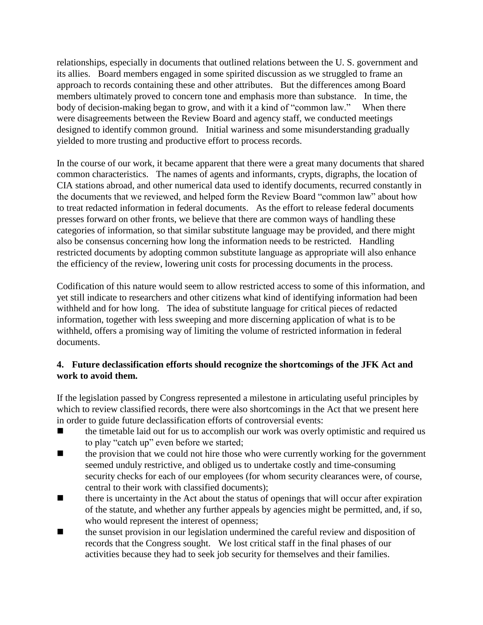relationships, especially in documents that outlined relations between the U. S. government and its allies. Board members engaged in some spirited discussion as we struggled to frame an approach to records containing these and other attributes. But the differences among Board members ultimately proved to concern tone and emphasis more than substance. In time, the body of decision-making began to grow, and with it a kind of "common law." When there were disagreements between the Review Board and agency staff, we conducted meetings designed to identify common ground. Initial wariness and some misunderstanding gradually yielded to more trusting and productive effort to process records.

In the course of our work, it became apparent that there were a great many documents that shared common characteristics. The names of agents and informants, crypts, digraphs, the location of CIA stations abroad, and other numerical data used to identify documents, recurred constantly in the documents that we reviewed, and helped form the Review Board "common law" about how to treat redacted information in federal documents. As the effort to release federal documents presses forward on other fronts, we believe that there are common ways of handling these categories of information, so that similar substitute language may be provided, and there might also be consensus concerning how long the information needs to be restricted. Handling restricted documents by adopting common substitute language as appropriate will also enhance the efficiency of the review, lowering unit costs for processing documents in the process.

Codification of this nature would seem to allow restricted access to some of this information, and yet still indicate to researchers and other citizens what kind of identifying information had been withheld and for how long. The idea of substitute language for critical pieces of redacted information, together with less sweeping and more discerning application of what is to be withheld, offers a promising way of limiting the volume of restricted information in federal documents.

# **4. Future declassification efforts should recognize the shortcomings of the JFK Act and work to avoid them.**

If the legislation passed by Congress represented a milestone in articulating useful principles by which to review classified records, there were also shortcomings in the Act that we present here in order to guide future declassification efforts of controversial events:

- the timetable laid out for us to accomplish our work was overly optimistic and required us to play "catch up" even before we started;
- **the provision that we could not hire those who were currently working for the government** seemed unduly restrictive, and obliged us to undertake costly and time-consuming security checks for each of our employees (for whom security clearances were, of course, central to their work with classified documents);
- $\blacksquare$  there is uncertainty in the Act about the status of openings that will occur after expiration of the statute, and whether any further appeals by agencies might be permitted, and, if so, who would represent the interest of openness;
- the sunset provision in our legislation undermined the careful review and disposition of records that the Congress sought. We lost critical staff in the final phases of our activities because they had to seek job security for themselves and their families.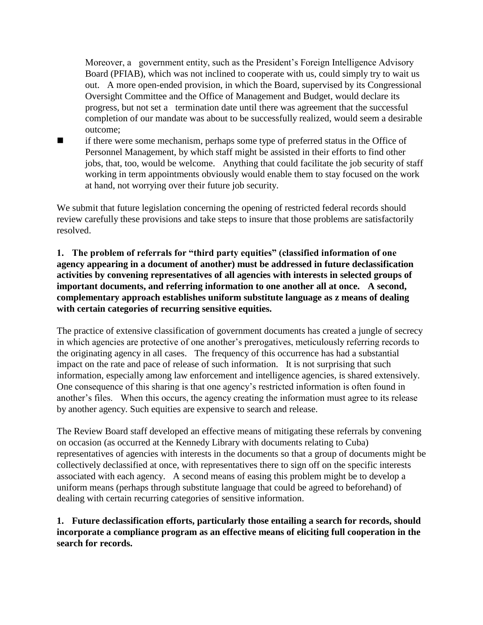Moreover, a government entity, such as the President's Foreign Intelligence Advisory Board (PFIAB), which was not inclined to cooperate with us, could simply try to wait us out. A more open-ended provision, in which the Board, supervised by its Congressional Oversight Committee and the Office of Management and Budget, would declare its progress, but not set a termination date until there was agreement that the successful completion of our mandate was about to be successfully realized, would seem a desirable outcome;

■ if there were some mechanism, perhaps some type of preferred status in the Office of Personnel Management, by which staff might be assisted in their efforts to find other jobs, that, too, would be welcome. Anything that could facilitate the job security of staff working in term appointments obviously would enable them to stay focused on the work at hand, not worrying over their future job security.

We submit that future legislation concerning the opening of restricted federal records should review carefully these provisions and take steps to insure that those problems are satisfactorily resolved.

# **1. The problem of referrals for "third party equities" (classified information of one agency appearing in a document of another) must be addressed in future declassification activities by convening representatives of all agencies with interests in selected groups of important documents, and referring information to one another all at once. A second, complementary approach establishes uniform substitute language as z means of dealing with certain categories of recurring sensitive equities.**

The practice of extensive classification of government documents has created a jungle of secrecy in which agencies are protective of one another's prerogatives, meticulously referring records to the originating agency in all cases. The frequency of this occurrence has had a substantial impact on the rate and pace of release of such information. It is not surprising that such information, especially among law enforcement and intelligence agencies, is shared extensively. One consequence of this sharing is that one agency's restricted information is often found in another's files. When this occurs, the agency creating the information must agree to its release by another agency. Such equities are expensive to search and release.

The Review Board staff developed an effective means of mitigating these referrals by convening on occasion (as occurred at the Kennedy Library with documents relating to Cuba) representatives of agencies with interests in the documents so that a group of documents might be collectively declassified at once, with representatives there to sign off on the specific interests associated with each agency. A second means of easing this problem might be to develop a uniform means (perhaps through substitute language that could be agreed to beforehand) of dealing with certain recurring categories of sensitive information.

## **1. Future declassification efforts, particularly those entailing a search for records, should incorporate a compliance program as an effective means of eliciting full cooperation in the search for records.**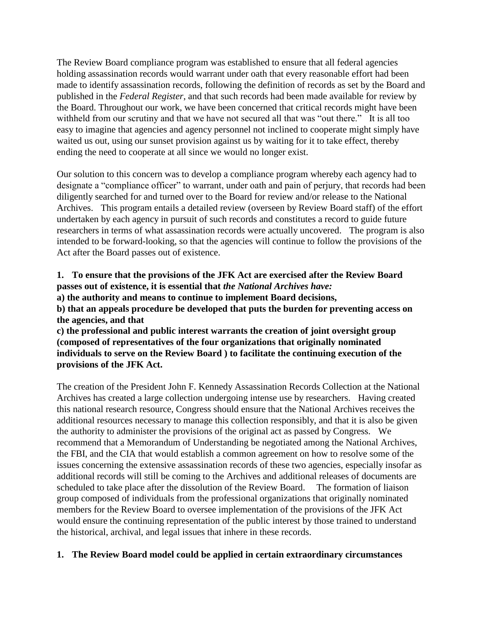The Review Board compliance program was established to ensure that all federal agencies holding assassination records would warrant under oath that every reasonable effort had been made to identify assassination records, following the definition of records as set by the Board and published in the *Federal Register*, and that such records had been made available for review by the Board. Throughout our work, we have been concerned that critical records might have been withheld from our scrutiny and that we have not secured all that was "out there." It is all too easy to imagine that agencies and agency personnel not inclined to cooperate might simply have waited us out, using our sunset provision against us by waiting for it to take effect, thereby ending the need to cooperate at all since we would no longer exist.

Our solution to this concern was to develop a compliance program whereby each agency had to designate a "compliance officer" to warrant, under oath and pain of perjury, that records had been diligently searched for and turned over to the Board for review and/or release to the National Archives. This program entails a detailed review (overseen by Review Board staff) of the effort undertaken by each agency in pursuit of such records and constitutes a record to guide future researchers in terms of what assassination records were actually uncovered. The program is also intended to be forward-looking, so that the agencies will continue to follow the provisions of the Act after the Board passes out of existence.

**1. To ensure that the provisions of the JFK Act are exercised after the Review Board passes out of existence, it is essential that** *the National Archives have:* 

**a) the authority and means to continue to implement Board decisions,** 

**b) that an appeals procedure be developed that puts the burden for preventing access on the agencies, and that** 

**c) the professional and public interest warrants the creation of joint oversight group (composed of representatives of the four organizations that originally nominated individuals to serve on the Review Board ) to facilitate the continuing execution of the provisions of the JFK Act.**

The creation of the President John F. Kennedy Assassination Records Collection at the National Archives has created a large collection undergoing intense use by researchers. Having created this national research resource, Congress should ensure that the National Archives receives the additional resources necessary to manage this collection responsibly, and that it is also be given the authority to administer the provisions of the original act as passed by Congress. We recommend that a Memorandum of Understanding be negotiated among the National Archives, the FBI, and the CIA that would establish a common agreement on how to resolve some of the issues concerning the extensive assassination records of these two agencies, especially insofar as additional records will still be coming to the Archives and additional releases of documents are scheduled to take place after the dissolution of the Review Board. The formation of liaison group composed of individuals from the professional organizations that originally nominated members for the Review Board to oversee implementation of the provisions of the JFK Act would ensure the continuing representation of the public interest by those trained to understand the historical, archival, and legal issues that inhere in these records.

## **1. The Review Board model could be applied in certain extraordinary circumstances**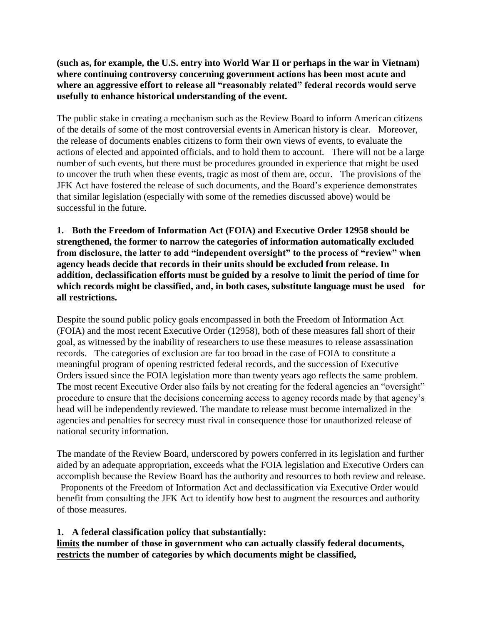**(such as, for example, the U.S. entry into World War II or perhaps in the war in Vietnam) where continuing controversy concerning government actions has been most acute and where an aggressive effort to release all "reasonably related" federal records would serve usefully to enhance historical understanding of the event.**

The public stake in creating a mechanism such as the Review Board to inform American citizens of the details of some of the most controversial events in American history is clear. Moreover, the release of documents enables citizens to form their own views of events, to evaluate the actions of elected and appointed officials, and to hold them to account. There will not be a large number of such events, but there must be procedures grounded in experience that might be used to uncover the truth when these events, tragic as most of them are, occur. The provisions of the JFK Act have fostered the release of such documents, and the Board's experience demonstrates that similar legislation (especially with some of the remedies discussed above) would be successful in the future.

**1. Both the Freedom of Information Act (FOIA) and Executive Order 12958 should be strengthened, the former to narrow the categories of information automatically excluded from disclosure, the latter to add "independent oversight" to the process of "review" when agency heads decide that records in their units should be excluded from release. In addition, declassification efforts must be guided by a resolve to limit the period of time for which records might be classified, and, in both cases, substitute language must be used for all restrictions.**

Despite the sound public policy goals encompassed in both the Freedom of Information Act (FOIA) and the most recent Executive Order (12958), both of these measures fall short of their goal, as witnessed by the inability of researchers to use these measures to release assassination records. The categories of exclusion are far too broad in the case of FOIA to constitute a meaningful program of opening restricted federal records, and the succession of Executive Orders issued since the FOIA legislation more than twenty years ago reflects the same problem. The most recent Executive Order also fails by not creating for the federal agencies an "oversight" procedure to ensure that the decisions concerning access to agency records made by that agency's head will be independently reviewed. The mandate to release must become internalized in the agencies and penalties for secrecy must rival in consequence those for unauthorized release of national security information.

The mandate of the Review Board, underscored by powers conferred in its legislation and further aided by an adequate appropriation, exceeds what the FOIA legislation and Executive Orders can accomplish because the Review Board has the authority and resources to both review and release. Proponents of the Freedom of Information Act and declassification via Executive Order would benefit from consulting the JFK Act to identify how best to augment the resources and authority

of those measures.

## **1. A federal classification policy that substantially:**

**limits the number of those in government who can actually classify federal documents, restricts the number of categories by which documents might be classified,**